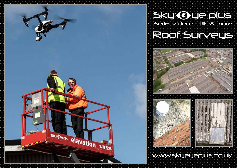

# Aerial video - stills & more Sky Oue plus Roof Surveys







www.skyeyeplus.co.uk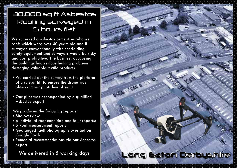# 30,000 sq ft Asbestos Roofing surveyed in 5 hours flat

We surveyed 6 asbestos cement warehouse roofs which were over 40 years old and if surveyed conventionally with scaffolding, safety equipment and surveyors would be risky and cost prohibitive. The business occupying the buildings had serious leaking problems damaging valuable textile products.

- •We carried out the survey from the platform of a scissor lift to ensure the drone was always in our pilots line of sight
- •Our pilot was accompanied by a qualified Asbestos expert

 *We produced the following reports:*

- •Site overview
- •6 Individual roof condition and fault reports:
- •6 Roof measurement reports
- •Geotagged fault photographs overlaid on Google Earth
- •Remedial recommendations via our Asbestos expert

We delivered in 5 working days

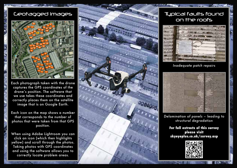## Geotagged images



Each photograph taken with the drone captures the GPS coordinates of the drone's position. The software that we use takes these coordinates and correctly places them on the satellite image that is on Google Earth.

Each icon on the map shows a number that corresponds to the number of photos that were taken from that GPS position.

When using Adobe Lightroom you can click an icon (which then highlights yellow) and scroll through the photos. Taking photos with GPS coordinates and using the software allows you to correctly locate problem areas.



# Typical faults found on the roofs



*Inadequate patch repairs*



*Delamination of panels – leading to structural degradation*

**For full extracts of this survey please visit skyeyeplus.co.uk/survey.asp**

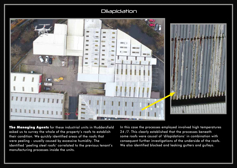## **Dilapidation**



The Managing Agents for these industrial units in Huddersfield asked us to survey the whole of the property's roofs to establish their condition. We quickly identified areas of the roofs that were peeling - usually caused by excessive humidity. The identified 'peeling steel roofs' correlated to the previous tenant's manufacturing processes inside the units.

In this case the processes employed involved high temperatures 24 /7. This clearly established that the processes beneath some roofs were causal of 'dilapidations' in combination with consequent further investigations of the underside of the roofs. We also identified blocked and leaking gutters and gulleys.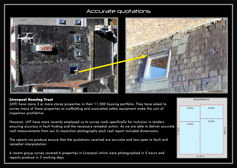## Accurate quotations



#### Liverpool Housing Trust

(LHT) have many 3 or more storey properties in their 11,500 housing portfolio. They have asked to survey many of these properties as scaffolding and associated safety equipment make the cost of inspection prohibitive.

However, LHT have more recently employed us to survey roofs specifically for inclusion in tenders ensuring accuracy in fault finding and the necessary remedial action. As we are able to deliver accurate roof measurements from our hi-resolution photography each roof report included dimensions.

The reports we produce ensure that the quotations received are accurate and less open to fault and remedial interpretation.

A recent group survey covered 6 properties in Liverpool which were photographed in 5 hours and reports produce in 3 working days.

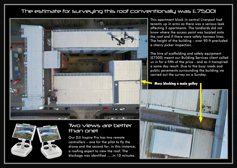# The estimate for surveying this roof conventionally was £7500!



This apartment block in central Liverpool had tenants up in arms as there was a serious leak affecting 5 apartments. The landlords did not know where the access point was located onto the roof and if there were safety harness lines. The height of the building – over 90 ft precluded a cherry picker inspection.

The hire of scaffolding and safety equipment (£7500) meant our Building Services client called us in for a fifth of the price - and as it transpired a same day result. Due to the busy roads and public pavements surrounding the building we carried out the survey on a Sunday.

**Moss blocking a main gulley**





# Two views are better than one!

Our DJI Inspire Pro has two remote controllers – one for the pilot to fly the drone and the second for, in this instance, a roofing expert to view the roof. The blockage was identified …..in 10 minutes.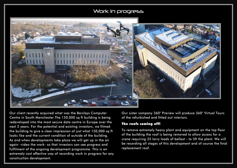# Work in progress



Our client recently acquired what was the Barclays Computer Centre in South Manchester.The 150,000 sq ft building is being redeveloped into the most secure data centre in Europe over the next 2 years. For the potential and existing investors, we filmed the building to give a clear impression of just what 150,000 sq ft looks like and the current condition of outside of the building. As and when developments take place we will get up in the air again -video the work- so that investors can see progress and fulfilment of the ongoing development programme. This is an extremely cost effective way of recording work in progress for any construction development.

Our sister company 360° Preview will produce 360° Virtual Tours of the refurbished and fitted out interiors.

#### The roofs coming off!

To remove extremely heavy plant and equipment on the top floor of the building the roof is being removed to allow access for a crane requiring 35 lorry loads of ballast - to lift the plant. We will be recording all stages of this development and of course the final replacement roof.